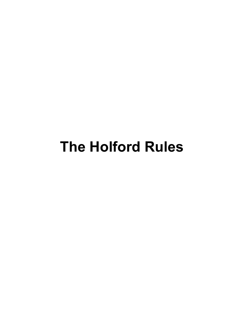# The Holford Rules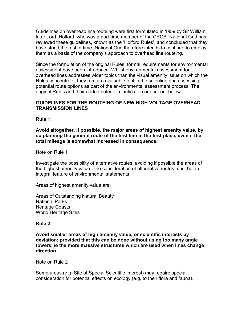Guidelines on overhead line routeing were first formulated in 1959 by Sir William later Lord, Holford, who was a part-time member of the CEGB. National Grid has reviewed these guidelines, known as the 'Holford Rules', and concluded that they have stood the test of time. National Grid therefore intends to continue to employ them as a basis of the company's approach to overhead line routeing.

Since the formulation of the original Rules, formal requirements for environmental assessment have been introduced. Whilst environmental assessment for overhead lines addresses wider topics than the visual amenity issue on which the Rules concentrate, they remain a valuable tool in the selecting and assessing potential route options as part of the environmental assessment process. The original Rules and their added notes of clarification are set out below.

# GUIDELINES FOR THE ROUTEING OF NEW HIGH VOLTAGE OVERHEAD TRANSMISSION LINES

Rule 1:

Avoid altogether, if possible, the major areas of highest amenity value, by so planning the general route of the first line in the first place, even if the total mileage is somewhat increased in consequence.

Note on Rule 1

Investigate the possibility of alternative routes, avoiding if possible the areas of the highest amenity value. The consideration of alternative routes must be an integral feature of environmental statements.

Areas of highest amenity value are:

Areas of Outstanding Natural Beauty National Parks Heritage Coasts World Heritage Sites

# Rule 2:

Avoid smaller areas of high amenity value, or scientific interests by deviation; provided that this can be done without using too many angle towers, ie the more massive structures which are used when lines change direction.

Note on Rule 2

Some areas (e.g. Site of Special Scientific Interest) may require special consideration for potential effects on ecology (e.g. to their flora and fauna).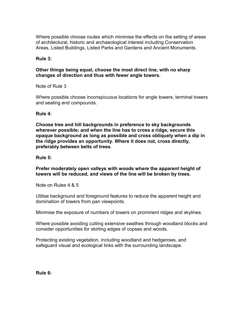Where possible choose routes which minimise the effects on the setting of areas of architectural, historic and archaeological interest including Conservation Areas, Listed Buildings, Listed Parks and Gardens and Ancient Monuments.

# Rule 3:

# Other things being equal, choose the most direct line, with no sharp changes of direction and thus with fewer angle towers.

Note of Rule 3

Where possible choose inconspicuous locations for angle towers, terminal towers and sealing end compounds.

# Rule 4:

Choose tree and hill backgrounds in preference to sky backgrounds wherever possible; and when the line has to cross a ridge, secure this opaque background as long as possible and cross obliquely when a dip in the ridge provides an opportunity. Where it does not, cross directly, preferably between belts of trees.

Rule 5:

Prefer moderately open valleys with woods where the apparent height of towers will be reduced, and views of the line will be broken by trees.

Note on Rules 4 & 5

Utilise background and foreground features to reduce the apparent height and domination of towers from pan viewpoints.

Minimise the exposure of numbers of towers on prominent ridges and skylines.

Where possible avoiding cutting extensive swathes through woodland blocks and consider opportunities for skirting edges of copses and woods.

Protecting existing vegetation, including woodland and hedgerows, and safeguard visual and ecological links with the surrounding landscape.

Rule 6: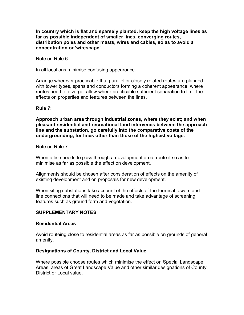In country which is flat and sparsely planted, keep the high voltage lines as far as possible independent of smaller lines, converging routes, distribution poles and other masts, wires and cables, so as to avoid a concentration or 'wirescape'.

Note on Rule 6:

In all locations minimise confusing appearance.

Arrange wherever practicable that parallel or closely related routes are planned with tower types, spans and conductors forming a coherent appearance; where routes need to diverge, allow where practicable sufficient separation to limit the effects on properties and features between the lines.

#### Rule 7:

Approach urban area through industrial zones, where they exist; and when pleasant residential and recreational land intervenes between the approach line and the substation, go carefully into the comparative costs of the undergrounding, for lines other than those of the highest voltage.

Note on Rule 7

When a line needs to pass through a development area, route it so as to minimise as far as possible the effect on development.

Alignments should be chosen after consideration of effects on the amenity of existing development and on proposals for new development.

When siting substations take account of the effects of the terminal towers and line connections that will need to be made and take advantage of screening features such as ground form and vegetation.

# SUPPLEMENTARY NOTES

#### Residential Areas

Avoid routeing close to residential areas as far as possible on grounds of general amenity.

# Designations of County, District and Local Value

Where possible choose routes which minimise the effect on Special Landscape Areas, areas of Great Landscape Value and other similar designations of County, District or Local value.